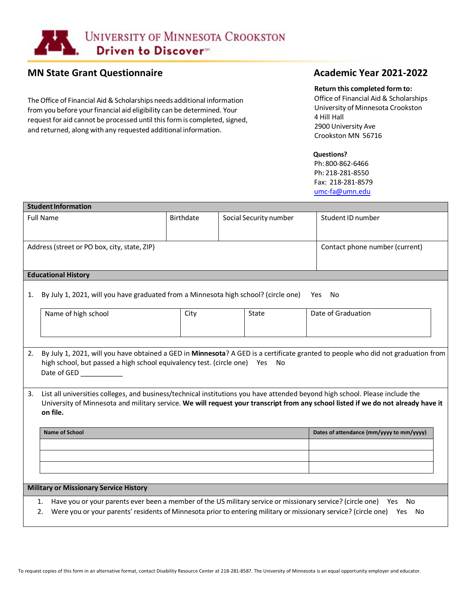

# **MN State Grant Questionnaire** MIN State Grant Questionnaire Academic Year 2021-2022

The Office of Financial Aid & Scholarships needs additional information from you before your financial aid eligibility can be determined. Your request for aid cannot be processed until this form is completed, signed, and returned, along with any requested additional information.

### **Return this completed form to:**

Office of Financial Aid & Scholarships University of Minnesota Crookston 4 Hill Hall 2900 University Ave Crookston MN 56716

## **Questions?**

Ph: 800-862-6466 Ph: 218-281-8550 Fax: 218-281-8579 [umc-fa@umn.edu](mailto:umc-fa@umn.edu)

| <b>Student Information</b>                    |                                                                                                                                                                                                                                                                               |                  |                        |                                          |  |  |  |  |
|-----------------------------------------------|-------------------------------------------------------------------------------------------------------------------------------------------------------------------------------------------------------------------------------------------------------------------------------|------------------|------------------------|------------------------------------------|--|--|--|--|
| <b>Full Name</b>                              |                                                                                                                                                                                                                                                                               | <b>Birthdate</b> | Social Security number | Student ID number                        |  |  |  |  |
|                                               |                                                                                                                                                                                                                                                                               |                  |                        |                                          |  |  |  |  |
|                                               | Address (street or PO box, city, state, ZIP)                                                                                                                                                                                                                                  |                  |                        | Contact phone number (current)           |  |  |  |  |
|                                               |                                                                                                                                                                                                                                                                               |                  |                        |                                          |  |  |  |  |
|                                               | <b>Educational History</b>                                                                                                                                                                                                                                                    |                  |                        |                                          |  |  |  |  |
| 1.                                            | By July 1, 2021, will you have graduated from a Minnesota high school? (circle one)<br>Yes No                                                                                                                                                                                 |                  |                        |                                          |  |  |  |  |
|                                               | Name of high school                                                                                                                                                                                                                                                           | City             | State                  | Date of Graduation                       |  |  |  |  |
|                                               |                                                                                                                                                                                                                                                                               |                  |                        |                                          |  |  |  |  |
| 2.                                            | By July 1, 2021, will you have obtained a GED in Minnesota? A GED is a certificate granted to people who did not graduation from<br>high school, but passed a high school equivalency test. (circle one) Yes<br>No                                                            |                  |                        |                                          |  |  |  |  |
| 3.                                            | List all universities colleges, and business/technical institutions you have attended beyond high school. Please include the<br>University of Minnesota and military service. We will request your transcript from any school listed if we do not already have it<br>on file. |                  |                        |                                          |  |  |  |  |
|                                               | <b>Name of School</b>                                                                                                                                                                                                                                                         |                  |                        | Dates of attendance (mm/yyyy to mm/yyyy) |  |  |  |  |
|                                               |                                                                                                                                                                                                                                                                               |                  |                        |                                          |  |  |  |  |
|                                               |                                                                                                                                                                                                                                                                               |                  |                        |                                          |  |  |  |  |
|                                               |                                                                                                                                                                                                                                                                               |                  |                        |                                          |  |  |  |  |
|                                               |                                                                                                                                                                                                                                                                               |                  |                        |                                          |  |  |  |  |
| <b>Military or Missionary Service History</b> |                                                                                                                                                                                                                                                                               |                  |                        |                                          |  |  |  |  |
|                                               | Have you or your parents ever been a member of the US military service or missionary service? (circle one) Yes No<br>1.<br>Were you or your parents' residents of Minnesota prior to entering military or missionary service? (circle one) Yes No<br>2.                       |                  |                        |                                          |  |  |  |  |